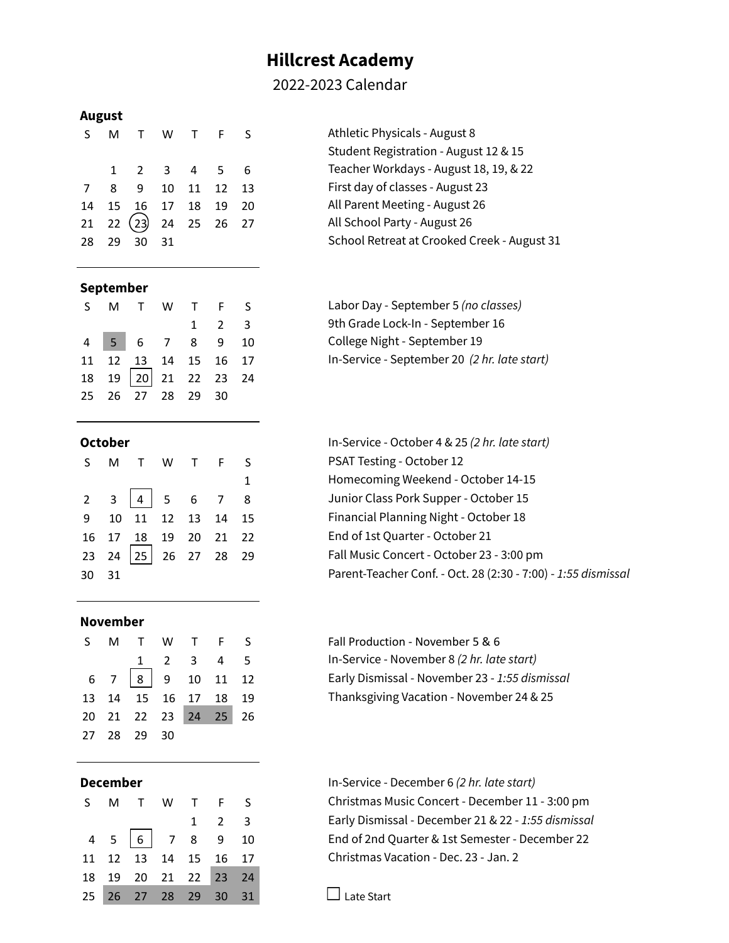# **Hillcrest Academy**

# 2022-2023 Calendar

### **August**

|  | S M T W T F S                                 |  |  |
|--|-----------------------------------------------|--|--|
|  | $1 \t2 \t3 \t4 \t5 \t6$                       |  |  |
|  | 7 8 9 10 11 12 13                             |  |  |
|  | 14  15  16  17  18  19  20                    |  |  |
|  | $21$ $22$ $\overline{23}$ $24$ $25$ $26$ $27$ |  |  |
|  | 28 29 30 31                                   |  |  |

# Athletic Physicals - August 8 Student Registration - August 12 & 15 Teacher Workdays - August 18, 19, & 22 First day of classes - August 23 All Parent Meeting - August 26 All School Party - August 26 School Retreat at Crooked Creek - August 31

### **September**

|  | S M T W T F S          |  |                     |  |
|--|------------------------|--|---------------------|--|
|  |                        |  | $1 \quad 2 \quad 3$ |  |
|  | 4 5 6 7 8 9 10         |  |                     |  |
|  | 11 12 13 14 15 16 17   |  |                     |  |
|  | 18 19 20 21 22 23 24   |  |                     |  |
|  | 25  26  27  28  29  30 |  |                     |  |

# Labor Day - September 5 *(no classes)* 9th Grade Lock-In - September 16 College Night - September 19 11 12 13 14 15 16 17 In-Service - September 20 *(2 hr. late start)*

**October** In-Service - October 4 & 25 *(2 hr. late start)* PSAT Testing - October 12 1 Homecoming Weekend - October 14-15 Junior Class Pork Supper - October 15 Financial Planning Night - October 18 End of 1st Quarter - October 21 Fall Music Concert - October 23 - 3:00 pm 30 31 Parent-Teacher Conf. - Oct. 28 (2:30 - 7:00) - *1:55 dismissal*

> Fall Production - November 5 & 6 1 2 3 4 5 In-Service - November 8 *(2 hr. late start)* 6 7 8 9 10 11 12 Early Dismissal - November 23 - *1:55 dismissal* Thanksgiving Vacation - November 24 & 25

**December** In-Service - December 6 *(2 hr. late start)* Christmas Music Concert - December 11 - 3:00 pm 1 2 3 Early Dismissal - December 21 & 22 - *1:55 dismissal* End of 2nd Quarter & 1st Semester - December 22 Christmas Vacation - Dec. 23 - Jan. 2

 $\Box$  Late Start

|       | S M T W T F S               |  |              |
|-------|-----------------------------|--|--------------|
|       |                             |  | $\mathbf{1}$ |
|       | $2 \t3 \t4 \t5 \t6 \t7 \t8$ |  |              |
|       | 9 10 11 12 13 14 15         |  |              |
|       | 16 17 18 19 20 21 22        |  |              |
|       | 23 24 25 26 27 28 29        |  |              |
| 30 31 |                             |  |              |

### **November**

|  | S M T W T F S                                          |                                     |  |  |
|--|--------------------------------------------------------|-------------------------------------|--|--|
|  |                                                        | $1 \quad 2 \quad 3 \quad 4 \quad 5$ |  |  |
|  | $6 \quad 7 \quad 8 \quad 9 \quad 10 \quad 11 \quad 12$ |                                     |  |  |
|  | 13  14  15  16  17  18  19                             |                                     |  |  |
|  | 20 21 22 23 24 25 26                                   |                                     |  |  |
|  | 27  28  29  30                                         |                                     |  |  |

|  | S M T W T F S                                        |  |                     |  |
|--|------------------------------------------------------|--|---------------------|--|
|  |                                                      |  | $1 \quad 2 \quad 3$ |  |
|  | $4 \quad 5 \quad 6 \quad 7 \quad 8 \quad 9 \quad 10$ |  |                     |  |
|  | 11 12 13 14 15 16 17                                 |  |                     |  |
|  | 18  19  20  21  22  23  24                           |  |                     |  |
|  | 25 26 27 28 29 30 31                                 |  |                     |  |